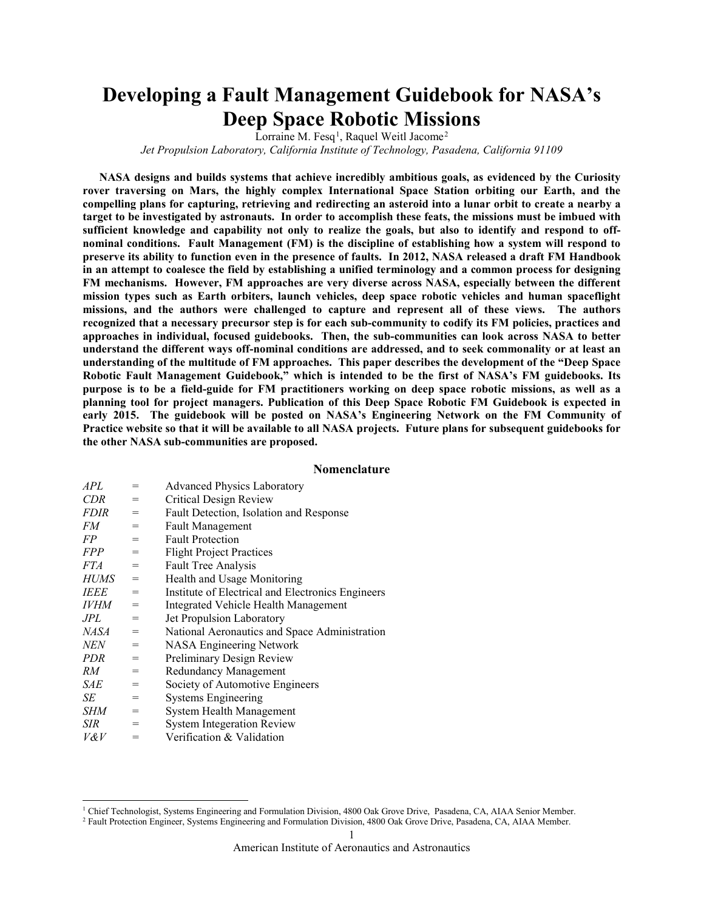# **Developing a Fault Management Guidebook for NASA's Deep Space Robotic Missions**

Lorraine M. Fesq<sup>[1](#page-0-0)</sup>, Raquel Weitl Jacome<sup>[2](#page-0-1)</sup>

*Jet Propulsion Laboratory, California Institute of Technology, Pasadena, California 91109*

**NASA designs and builds systems that achieve incredibly ambitious goals, as evidenced by the Curiosity rover traversing on Mars, the highly complex International Space Station orbiting our Earth, and the compelling plans for capturing, retrieving and redirecting an asteroid into a lunar orbit to create a nearby a target to be investigated by astronauts. In order to accomplish these feats, the missions must be imbued with sufficient knowledge and capability not only to realize the goals, but also to identify and respond to offnominal conditions. Fault Management (FM) is the discipline of establishing how a system will respond to preserve its ability to function even in the presence of faults. In 2012, NASA released a draft FM Handbook in an attempt to coalesce the field by establishing a unified terminology and a common process for designing FM mechanisms. However, FM approaches are very diverse across NASA, especially between the different mission types such as Earth orbiters, launch vehicles, deep space robotic vehicles and human spaceflight missions, and the authors were challenged to capture and represent all of these views. The authors recognized that a necessary precursor step is for each sub-community to codify its FM policies, practices and approaches in individual, focused guidebooks. Then, the sub-communities can look across NASA to better understand the different ways off-nominal conditions are addressed, and to seek commonality or at least an understanding of the multitude of FM approaches. This paper describes the development of the "Deep Space Robotic Fault Management Guidebook," which is intended to be the first of NASA's FM guidebooks. Its purpose is to be a field-guide for FM practitioners working on deep space robotic missions, as well as a planning tool for project managers. Publication of this Deep Space Robotic FM Guidebook is expected in early 2015. The guidebook will be posted on NASA's Engineering Network on the FM Community of Practice website so that it will be available to all NASA projects. Future plans for subsequent guidebooks for the other NASA sub-communities are proposed.**

#### **Nomenclature**

| APL         | $=$ | <b>Advanced Physics Laboratory</b>                |
|-------------|-----|---------------------------------------------------|
| <b>CDR</b>  | =   | Critical Design Review                            |
| <i>FDIR</i> | $=$ | Fault Detection, Isolation and Response           |
| FM          | $=$ | <b>Fault Management</b>                           |
| FP          | $=$ | <b>Fault Protection</b>                           |
| <b>FPP</b>  | $=$ | <b>Flight Project Practices</b>                   |
| <i>FTA</i>  | $=$ | <b>Fault Tree Analysis</b>                        |
| <b>HUMS</b> | $=$ | Health and Usage Monitoring                       |
| <i>IEEE</i> | $=$ | Institute of Electrical and Electronics Engineers |
| <i>IVHM</i> | $=$ | Integrated Vehicle Health Management              |
| JPL.        | =   | <b>Jet Propulsion Laboratory</b>                  |
| NASA        | $=$ | National Aeronautics and Space Administration     |
| <b>NEN</b>  | $=$ | <b>NASA Engineering Network</b>                   |
| PDR         | $=$ | Preliminary Design Review                         |
| RМ          | $=$ | Redundancy Management                             |
| SAE         | $=$ | Society of Automotive Engineers                   |
| SЕ          | $=$ | <b>Systems Engineering</b>                        |
| SHM         | $=$ | System Health Management                          |
| SIR         | $=$ | <b>System Integeration Review</b>                 |
| 17 P 17     | –   | Varification & Volidation                         |

*V&V* = Verification & Validation

 $\overline{a}$ 

<span id="page-0-0"></span><sup>1</sup> Chief Technologist, Systems Engineering and Formulation Division, 4800 Oak Grove Drive, Pasadena, CA, AIAA Senior Member.

<span id="page-0-1"></span><sup>2</sup> Fault Protection Engineer, Systems Engineering and Formulation Division, 4800 Oak Grove Drive, Pasadena, CA, AIAA Member.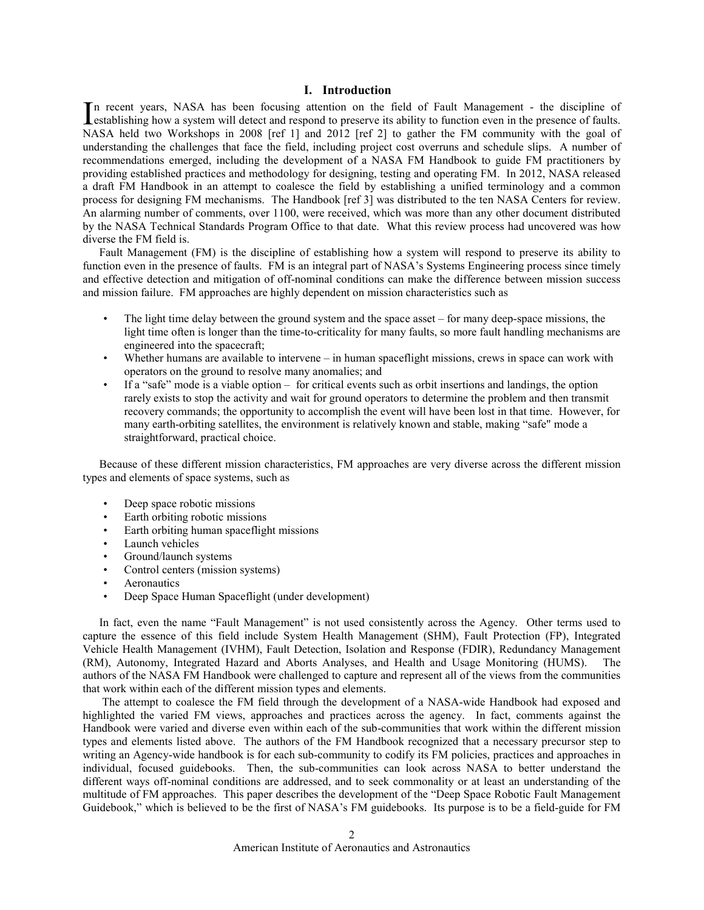## **I. Introduction**

n recent years, NASA has been focusing attention on the field of Fault Management - the discipline of In recent years, NASA has been focusing attention on the field of Fault Management - the discipline of establishing how a system will detect and respond to preserve its ability to function even in the presence of faults. NASA held two Workshops in 2008 [ref 1] and 2012 [ref 2] to gather the FM community with the goal of understanding the challenges that face the field, including project cost overruns and schedule slips. A number of recommendations emerged, including the development of a NASA FM Handbook to guide FM practitioners by providing established practices and methodology for designing, testing and operating FM. In 2012, NASA released a draft FM Handbook in an attempt to coalesce the field by establishing a unified terminology and a common process for designing FM mechanisms. The Handbook [ref 3] was distributed to the ten NASA Centers for review. An alarming number of comments, over 1100, were received, which was more than any other document distributed by the NASA Technical Standards Program Office to that date. What this review process had uncovered was how diverse the FM field is.

Fault Management (FM) is the discipline of establishing how a system will respond to preserve its ability to function even in the presence of faults. FM is an integral part of NASA's Systems Engineering process since timely and effective detection and mitigation of off-nominal conditions can make the difference between mission success and mission failure. FM approaches are highly dependent on mission characteristics such as

- The light time delay between the ground system and the space asset  $-$  for many deep-space missions, the light time often is longer than the time-to-criticality for many faults, so more fault handling mechanisms are engineered into the spacecraft;
- Whether humans are available to intervene in human spaceflight missions, crews in space can work with operators on the ground to resolve many anomalies; and
- If a "safe" mode is a viable option for critical events such as orbit insertions and landings, the option rarely exists to stop the activity and wait for ground operators to determine the problem and then transmit recovery commands; the opportunity to accomplish the event will have been lost in that time. However, for many earth-orbiting satellites, the environment is relatively known and stable, making "safe" mode a straightforward, practical choice.

Because of these different mission characteristics, FM approaches are very diverse across the different mission types and elements of space systems, such as

- Deep space robotic missions
- Earth orbiting robotic missions
- Earth orbiting human spaceflight missions
- Launch vehicles
- Ground/launch systems
- Control centers (mission systems)
- Aeronautics
- Deep Space Human Spaceflight (under development)

In fact, even the name "Fault Management" is not used consistently across the Agency. Other terms used to capture the essence of this field include System Health Management (SHM), Fault Protection (FP), Integrated Vehicle Health Management (IVHM), Fault Detection, Isolation and Response (FDIR), Redundancy Management (RM), Autonomy, Integrated Hazard and Aborts Analyses, and Health and Usage Monitoring (HUMS). The authors of the NASA FM Handbook were challenged to capture and represent all of the views from the communities that work within each of the different mission types and elements.

 The attempt to coalesce the FM field through the development of a NASA-wide Handbook had exposed and highlighted the varied FM views, approaches and practices across the agency. In fact, comments against the Handbook were varied and diverse even within each of the sub-communities that work within the different mission types and elements listed above. The authors of the FM Handbook recognized that a necessary precursor step to writing an Agency-wide handbook is for each sub-community to codify its FM policies, practices and approaches in individual, focused guidebooks. Then, the sub-communities can look across NASA to better understand the different ways off-nominal conditions are addressed, and to seek commonality or at least an understanding of the multitude of FM approaches. This paper describes the development of the "Deep Space Robotic Fault Management Guidebook," which is believed to be the first of NASA's FM guidebooks. Its purpose is to be a field-guide for FM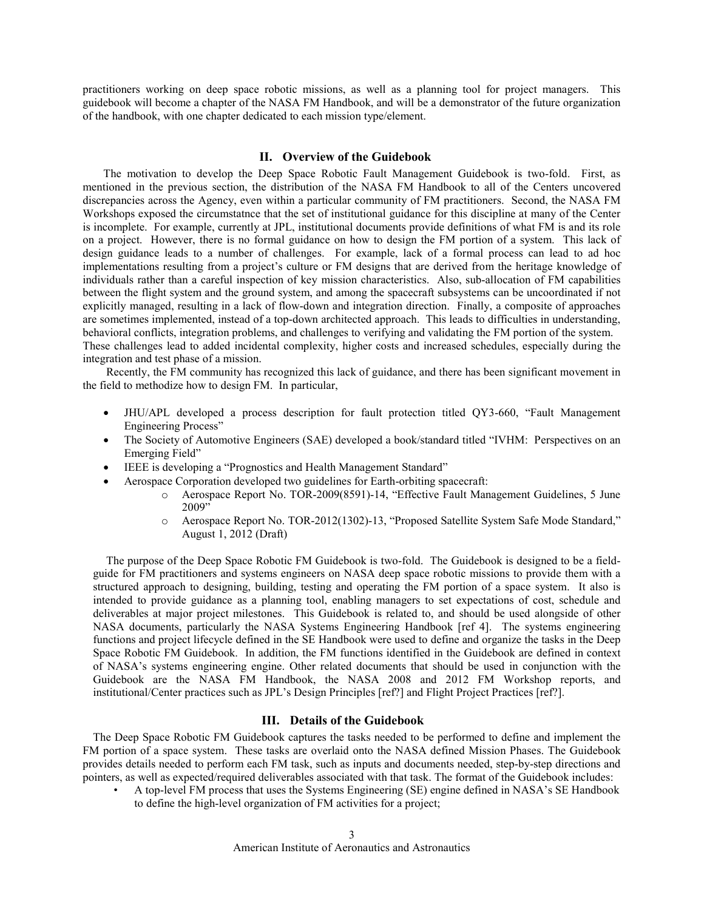practitioners working on deep space robotic missions, as well as a planning tool for project managers. This guidebook will become a chapter of the NASA FM Handbook, and will be a demonstrator of the future organization of the handbook, with one chapter dedicated to each mission type/element.

# **II. Overview of the Guidebook**

The motivation to develop the Deep Space Robotic Fault Management Guidebook is two-fold. First, as mentioned in the previous section, the distribution of the NASA FM Handbook to all of the Centers uncovered discrepancies across the Agency, even within a particular community of FM practitioners. Second, the NASA FM Workshops exposed the circumstatnce that the set of institutional guidance for this discipline at many of the Center is incomplete. For example, currently at JPL, institutional documents provide definitions of what FM is and its role on a project. However, there is no formal guidance on how to design the FM portion of a system. This lack of design guidance leads to a number of challenges. For example, lack of a formal process can lead to ad hoc implementations resulting from a project's culture or FM designs that are derived from the heritage knowledge of individuals rather than a careful inspection of key mission characteristics. Also, sub-allocation of FM capabilities between the flight system and the ground system, and among the spacecraft subsystems can be uncoordinated if not explicitly managed, resulting in a lack of flow-down and integration direction. Finally, a composite of approaches are sometimes implemented, instead of a top-down architected approach. This leads to difficulties in understanding, behavioral conflicts, integration problems, and challenges to verifying and validating the FM portion of the system. These challenges lead to added incidental complexity, higher costs and increased schedules, especially during the integration and test phase of a mission.

Recently, the FM community has recognized this lack of guidance, and there has been significant movement in the field to methodize how to design FM. In particular,

- JHU/APL developed a process description for fault protection titled QY3-660, "Fault Management Engineering Process"
- The Society of Automotive Engineers (SAE) developed a book/standard titled "IVHM: Perspectives on an Emerging Field"
- IEEE is developing a "Prognostics and Health Management Standard"
- Aerospace Corporation developed two guidelines for Earth-orbiting spacecraft:
	- o Aerospace Report No. TOR-2009(8591)-14, "Effective Fault Management Guidelines, 5 June 2009"
	- o Aerospace Report No. TOR-2012(1302)-13, "Proposed Satellite System Safe Mode Standard," August 1, 2012 (Draft)

The purpose of the Deep Space Robotic FM Guidebook is two-fold. The Guidebook is designed to be a fieldguide for FM practitioners and systems engineers on NASA deep space robotic missions to provide them with a structured approach to designing, building, testing and operating the FM portion of a space system. It also is intended to provide guidance as a planning tool, enabling managers to set expectations of cost, schedule and deliverables at major project milestones. This Guidebook is related to, and should be used alongside of other NASA documents, particularly the NASA Systems Engineering Handbook [ref 4]. The systems engineering functions and project lifecycle defined in the SE Handbook were used to define and organize the tasks in the Deep Space Robotic FM Guidebook. In addition, the FM functions identified in the Guidebook are defined in context of NASA's systems engineering engine. Other related documents that should be used in conjunction with the Guidebook are the NASA FM Handbook, the NASA 2008 and 2012 FM Workshop reports, and institutional/Center practices such as JPL's Design Principles [ref?] and Flight Project Practices [ref?].

# **III. Details of the Guidebook**

The Deep Space Robotic FM Guidebook captures the tasks needed to be performed to define and implement the FM portion of a space system. These tasks are overlaid onto the NASA defined Mission Phases. The Guidebook provides details needed to perform each FM task, such as inputs and documents needed, step-by-step directions and pointers, as well as expected/required deliverables associated with that task. The format of the Guidebook includes:

• A top-level FM process that uses the Systems Engineering (SE) engine defined in NASA's SE Handbook to define the high-level organization of FM activities for a project;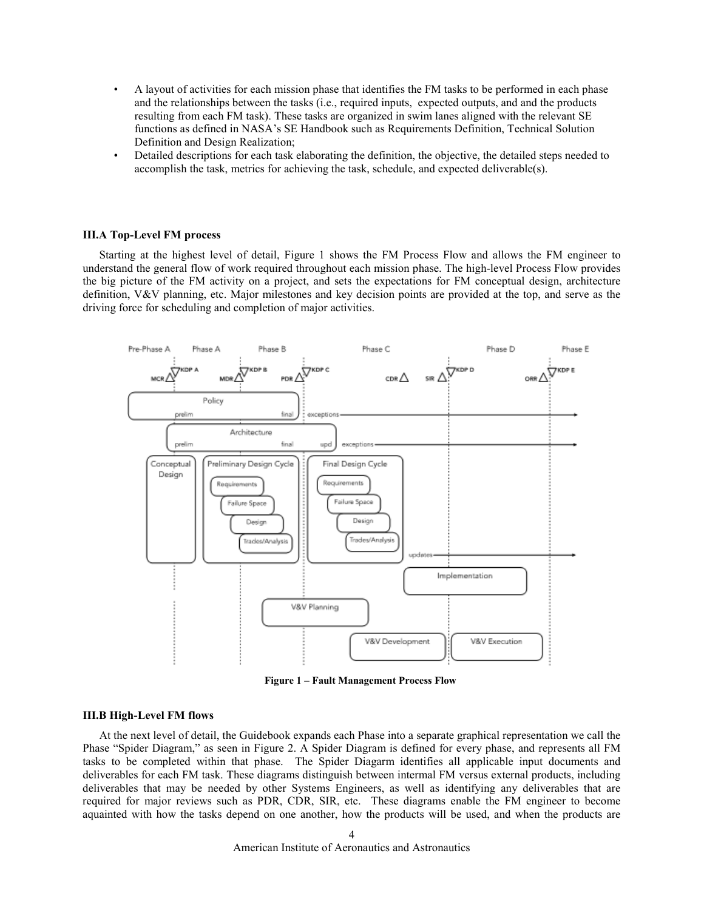- A layout of activities for each mission phase that identifies the FM tasks to be performed in each phase and the relationships between the tasks (i.e., required inputs, expected outputs, and and the products resulting from each FM task). These tasks are organized in swim lanes aligned with the relevant SE functions as defined in NASA's SE Handbook such as Requirements Definition, Technical Solution Definition and Design Realization;
- Detailed descriptions for each task elaborating the definition, the objective, the detailed steps needed to accomplish the task, metrics for achieving the task, schedule, and expected deliverable(s).

#### **III.A Top-Level FM process**

Starting at the highest level of detail, Figure 1 shows the FM Process Flow and allows the FM engineer to understand the general flow of work required throughout each mission phase. The high-level Process Flow provides the big picture of the FM activity on a project, and sets the expectations for FM conceptual design, architecture definition, V&V planning, etc. Major milestones and key decision points are provided at the top, and serve as the driving force for scheduling and completion of major activities.



**Figure 1 – Fault Management Process Flow**

#### **III.B High-Level FM flows**

At the next level of detail, the Guidebook expands each Phase into a separate graphical representation we call the Phase "Spider Diagram," as seen in Figure 2. A Spider Diagram is defined for every phase, and represents all FM tasks to be completed within that phase. The Spider Diagarm identifies all applicable input documents and deliverables for each FM task. These diagrams distinguish between intermal FM versus external products, including deliverables that may be needed by other Systems Engineers, as well as identifying any deliverables that are required for major reviews such as PDR, CDR, SIR, etc. These diagrams enable the FM engineer to become aquainted with how the tasks depend on one another, how the products will be used, and when the products are

American Institute of Aeronautics and Astronautics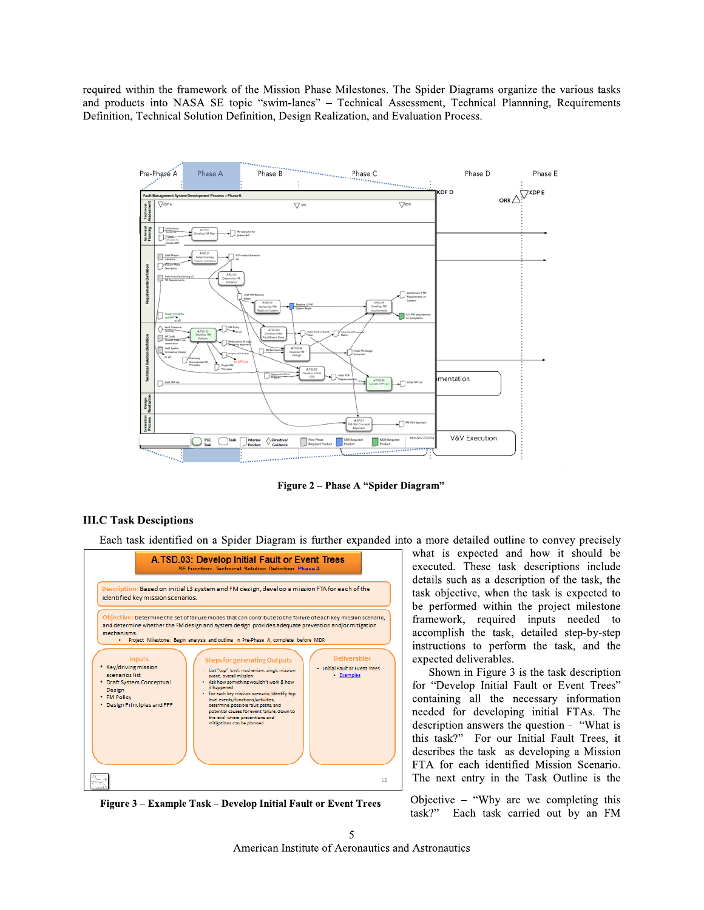required within the framework of the Mission Phase Milestones. The Spider Diagrams organize the various tasks and products into NASA SE topic "swim-lanes" - Technical Assessment, Technical Plannning, Requirements Definition, Technical Solution Definition, Design Realization, and Evaluation Process.



Figure 2 - Phase A "Spider Diagram"

## **III.C Task Desciptions**

Each task identified on a Spider Diagram is further expanded into a more detailed outline to convey precisely



Figure 3 – Example Task – Develop Initial Fault or Event Trees

what is expected and how it should be executed. These task descriptions include details such as a description of the task, the task objective, when the task is expected to be performed within the project milestone framework, required inputs needed to accomplish the task, detailed step-by-step instructions to perform the task, and the expected deliverables.

Shown in Figure 3 is the task description for "Develop Initial Fault or Event Trees" containing all the necessary information needed for developing initial FTAs. The description answers the question - "What is this task?" For our Initial Fault Trees, it describes the task as developing a Mission FTA for each identified Mission Scenario. The next entry in the Task Outline is the

Objective  $-$  "Why are we completing this task?" Each task carried out by an FM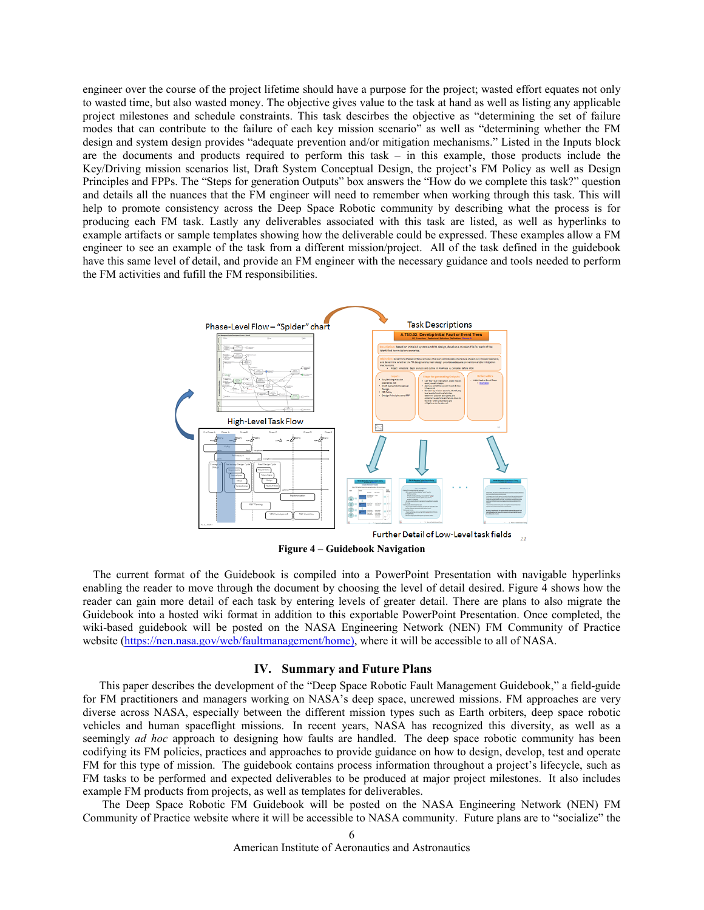engineer over the course of the project lifetime should have a purpose for the project; wasted effort equates not only to wasted time, but also wasted money. The objective gives value to the task at hand as well as listing any applicable project milestones and schedule constraints. This task descirbes the objective as "determining the set of failure modes that can contribute to the failure of each key mission scenario" as well as "determining whether the FM design and system design provides "adequate prevention and/or mitigation mechanisms." Listed in the Inputs block are the documents and products required to perform this task – in this example, those products include the Key/Driving mission scenarios list, Draft System Conceptual Design, the project's FM Policy as well as Design Principles and FPPs. The "Steps for generation Outputs" box answers the "How do we complete this task?" question and details all the nuances that the FM engineer will need to remember when working through this task. This will help to promote consistency across the Deep Space Robotic community by describing what the process is for producing each FM task. Lastly any deliverables associated with this task are listed, as well as hyperlinks to example artifacts or sample templates showing how the deliverable could be expressed. These examples allow a FM engineer to see an example of the task from a different mission/project. All of the task defined in the guidebook have this same level of detail, and provide an FM engineer with the necessary guidance and tools needed to perform the FM activities and fufill the FM responsibilities.



**Figure 4 – Guidebook Navigation**

The current format of the Guidebook is compiled into a PowerPoint Presentation with navigable hyperlinks enabling the reader to move through the document by choosing the level of detail desired. Figure 4 shows how the reader can gain more detail of each task by entering levels of greater detail. There are plans to also migrate the Guidebook into a hosted wiki format in addition to this exportable PowerPoint Presentation. Once completed, the wiki-based guidebook will be posted on the NASA Engineering Network (NEN) FM Community of Practice website [\(https://nen.nasa.gov/web/faultmanagement/home\)](https://nen.nasa.gov/web/faultmanagement/home), where it will be accessible to all of NASA.

## **IV. Summary and Future Plans**

This paper describes the development of the "Deep Space Robotic Fault Management Guidebook," a field-guide for FM practitioners and managers working on NASA's deep space, uncrewed missions. FM approaches are very diverse across NASA, especially between the different mission types such as Earth orbiters, deep space robotic vehicles and human spaceflight missions. In recent years, NASA has recognized this diversity, as well as a seemingly *ad hoc* approach to designing how faults are handled. The deep space robotic community has been codifying its FM policies, practices and approaches to provide guidance on how to design, develop, test and operate FM for this type of mission. The guidebook contains process information throughout a project's lifecycle, such as FM tasks to be performed and expected deliverables to be produced at major project milestones. It also includes example FM products from projects, as well as templates for deliverables.

The Deep Space Robotic FM Guidebook will be posted on the NASA Engineering Network (NEN) FM Community of Practice website where it will be accessible to NASA community. Future plans are to "socialize" the

American Institute of Aeronautics and Astronautics